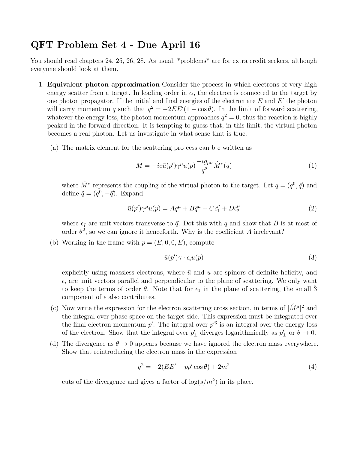## QFT Problem Set 4 - Due April 16

You should read chapters 24, 25, 26, 28. As usual, \*problems\* are for extra credit seekers, although everyone should look at them.

- 1. Equivalent photon approximation Consider the process in which electrons of very high energy scatter from a target. In leading order in  $\alpha$ , the electron is connected to the target by one photon propagator. If the initial and final energies of the electron are  $E$  and  $E'$  the photon will carry momentum q such that  $q^2 = -2EE'(1 - \cos \theta)$ . In the limit of forward scattering, whatever the energy loss, the photon momentum approaches  $q^2 = 0$ ; thus the reaction is highly peaked in the forward direction. It is tempting to guess that, in this limit, the virtual photon becomes a real photon. Let us investigate in what sense that is true.
	- (a) The matrix element for the scattering pro cess can b e written as

$$
M = -ie\bar{u}(p')\gamma^{\mu}u(p)\frac{-ig_{\mu\nu}}{q^2}\hat{M}^{\nu}(q)
$$
\n(1)

where  $\hat{M}^{\nu}$  represents the coupling of the virtual photon to the target. Let  $q = (q^0, \vec{q})$  and define  $\tilde{q} = (q^0, -\vec{q})$ . Expand

$$
\bar{u}(p')\gamma^{\mu}u(p) = Aq^{\mu} + B\tilde{q}^{\mu} + C\epsilon_1^{\mu} + D\epsilon_2^{\mu}
$$
\n<sup>(2)</sup>

where  $\epsilon_I$  are unit vectors transverse to  $\vec{q}$ . Dot this with q and show that B is at most of order  $\theta^2$ , so we can ignore it henceforth. Why is the coefficient A irrelevant?

(b) Working in the frame with  $p = (E, 0, 0, E)$ , compute

$$
\bar{u}(p')\gamma \cdot \epsilon_i u(p) \tag{3}
$$

explicitly using massless electrons, where  $\bar{u}$  and u are spinors of definite helicity, and  $\epsilon_i$  are unit vectors parallel and perpendicular to the plane of scattering. We only want to keep the terms of order  $\theta$ . Note that for  $\epsilon_1$  in the plane of scattering, the small 3 component of  $\epsilon$  also contributes.

- (c) Now write the expression for the electron scattering cross section, in terms of  $|\hat{M}^{\mu}|^2$  and the integral over phase space on the target side. This expression must be integrated over the final electron momentum  $p'$ . The integral over  $p'^3$  is an integral over the energy loss of the electron. Show that the integral over  $p'_\perp$  diverges logarithmically as  $p'_\perp$  or  $\theta \to 0$ .
- (d) The divergence as  $\theta \rightarrow 0$  appears because we have ignored the electron mass everywhere. Show that reintroducing the electron mass in the expression

$$
q^{2} = -2(EE' - pp'\cos\theta) + 2m^{2}
$$
\n(4)

cuts of the divergence and gives a factor of  $\log(s/m^2)$  in its place.